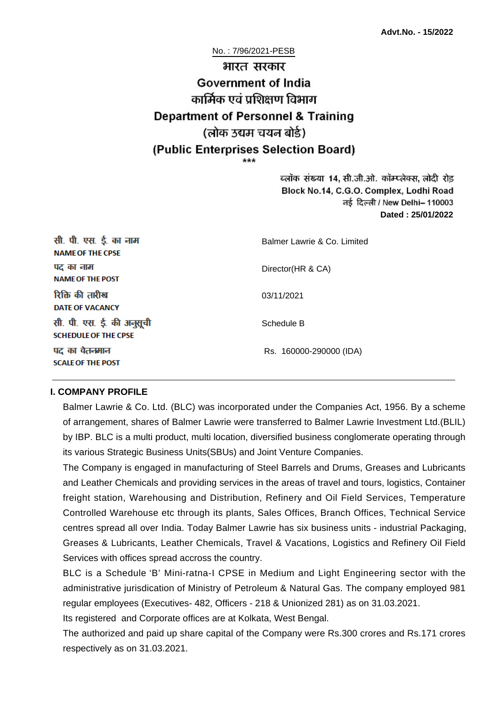No. : 7/96/2021-PESB

# भारत सरकार **Government of India** कार्मिक एवं पशिक्षण विभाग **Department of Personnel & Training** (लोक उद्यम चयन बोर्ड) (Public Enterprises Selection Board)

ब्लॉक संख्या 14, सी.जी.ओ. कॉम्प्लेक्स, लोदी रोड Block No.14, C.G.O. Complex, Lodhi Road ਰई दिल्ली / New Delhi– 110003 **Dated : 25/01/2022**

| सी. पी. एस. ई. का नाम<br><b>NAME OF THE CPSE</b>         | Balmer Lawrie & Co. Limited |
|----------------------------------------------------------|-----------------------------|
| पद का नाम<br><b>NAME OF THE POST</b>                     | Director(HR & CA)           |
| रिक्ति की तारीख<br><b>DATE OF VACANCY</b>                | 03/11/2021                  |
| सी. पी. एस. ई. की अनुसूची<br><b>SCHEDULE OF THE CPSE</b> | Schedule B                  |
| पद का वेतनमान<br><b>SCALE OF THE POST</b>                | Rs. 160000-290000 (IDA)     |

#### **I. COMPANY PROFILE**

Balmer Lawrie & Co. Ltd. (BLC) was incorporated under the Companies Act, 1956. By a scheme of arrangement, shares of Balmer Lawrie were transferred to Balmer Lawrie Investment Ltd.(BLIL) by IBP. BLC is a multi product, multi location, diversified business conglomerate operating through its various Strategic Business Units(SBUs) and Joint Venture Companies.

The Company is engaged in manufacturing of Steel Barrels and Drums, Greases and Lubricants and Leather Chemicals and providing services in the areas of travel and tours, logistics, Container freight station, Warehousing and Distribution, Refinery and Oil Field Services, Temperature Controlled Warehouse etc through its plants, Sales Offices, Branch Offices, Technical Service centres spread all over India. Today Balmer Lawrie has six business units - industrial Packaging, Greases & Lubricants, Leather Chemicals, Travel & Vacations, Logistics and Refinery Oil Field Services with offices spread accross the country.

BLC is a Schedule 'B' Mini-ratna-I CPSE in Medium and Light Engineering sector with the administrative jurisdication of Ministry of Petroleum & Natural Gas. The company employed 981 regular employees (Executives- 482, Officers - 218 & Unionized 281) as on 31.03.2021.

Its registered and Corporate offices are at Kolkata, West Bengal.

The authorized and paid up share capital of the Company were Rs.300 crores and Rs.171 crores respectively as on 31.03.2021.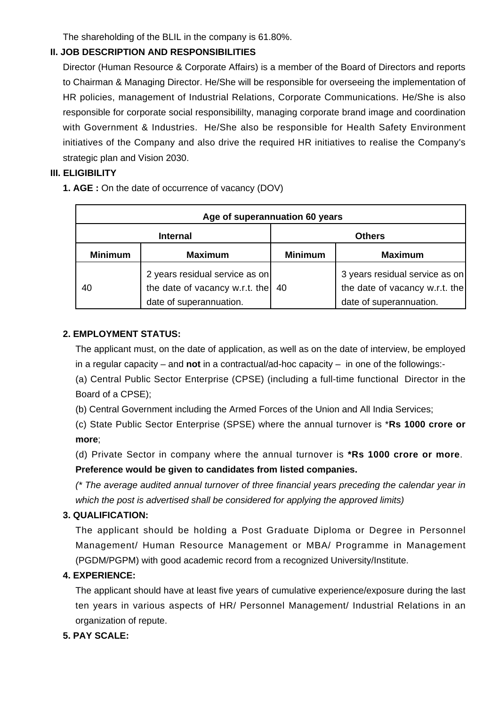The shareholding of the BLIL in the company is 61.80%.

### **II. JOB DESCRIPTION AND RESPONSIBILITIES**

Director (Human Resource & Corporate Affairs) is a member of the Board of Directors and reports to Chairman & Managing Director. He/She will be responsible for overseeing the implementation of HR policies, management of Industrial Relations, Corporate Communications. He/She is also responsible for corporate social responsibililty, managing corporate brand image and coordination with Government & Industries. He/She also be responsible for Health Safety Environment initiatives of the Company and also drive the required HR initiatives to realise the Company's strategic plan and Vision 2030.

### **III. ELIGIBILITY**

**1. AGE :** On the date of occurrence of vacancy (DOV)

| Age of superannuation 60 years |                                                                                             |                |                                                                                             |  |
|--------------------------------|---------------------------------------------------------------------------------------------|----------------|---------------------------------------------------------------------------------------------|--|
| <b>Internal</b>                |                                                                                             | <b>Others</b>  |                                                                                             |  |
| <b>Minimum</b>                 | <b>Maximum</b>                                                                              | <b>Minimum</b> | <b>Maximum</b>                                                                              |  |
| 40                             | 2 years residual service as on<br>the date of vacancy w.r.t. the<br>date of superannuation. | 40             | 3 years residual service as on<br>the date of vacancy w.r.t. the<br>date of superannuation. |  |

### **2. EMPLOYMENT STATUS:**

The applicant must, on the date of application, as well as on the date of interview, be employed in a regular capacity – and **not** in a contractual/ad-hoc capacity – in one of the followings:-

(a) Central Public Sector Enterprise (CPSE) (including a full-time functional Director in the Board of a CPSE);

(b) Central Government including the Armed Forces of the Union and All India Services;

(c) State Public Sector Enterprise (SPSE) where the annual turnover is \***Rs 1000 crore or more**;

(d) Private Sector in company where the annual turnover is **\*Rs 1000 crore or more**. **Preference would be given to candidates from listed companies.** 

(\* The average audited annual turnover of three financial years preceding the calendar year in which the post is advertised shall be considered for applying the approved limits)

# **3. QUALIFICATION:**

The applicant should be holding a Post Graduate Diploma or Degree in Personnel Management/ Human Resource Management or MBA/ Programme in Management (PGDM/PGPM) with good academic record from a recognized University/Institute.

#### **4. EXPERIENCE:**

The applicant should have at least five years of cumulative experience/exposure during the last ten years in various aspects of HR/ Personnel Management/ Industrial Relations in an organization of repute.

#### **5. PAY SCALE:**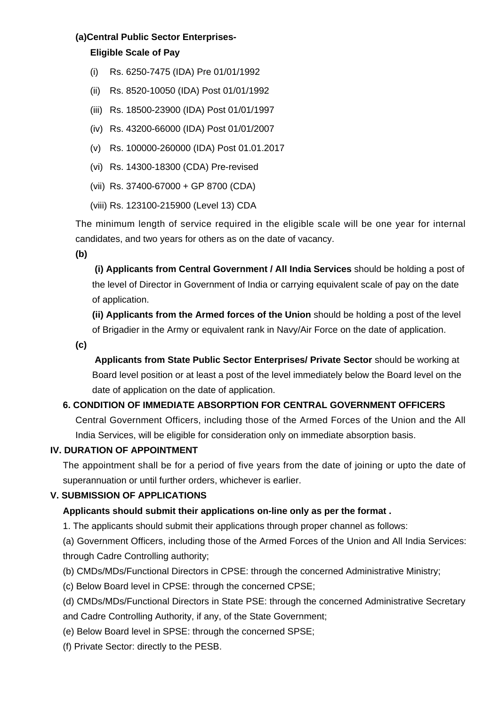#### **(a)Central Public Sector Enterprises-**

#### **Eligible Scale of Pay**

- (i) Rs. 6250-7475 (IDA) Pre 01/01/1992
- (ii) Rs. 8520-10050 (IDA) Post 01/01/1992
- (iii) Rs. 18500-23900 (IDA) Post 01/01/1997
- (iv) Rs. 43200-66000 (IDA) Post 01/01/2007
- (v) Rs. 100000-260000 (IDA) Post 01.01.2017
- (vi) Rs. 14300-18300 (CDA) Pre-revised
- (vii) Rs. 37400-67000 + GP 8700 (CDA)
- (viii) Rs. 123100-215900 (Level 13) CDA

The minimum length of service required in the eligible scale will be one year for internal candidates, and two years for others as on the date of vacancy.

**(b)**

**(i) Applicants from Central Government / All India Services** should be holding a post of the level of Director in Government of India or carrying equivalent scale of pay on the date of application.

**(ii) Applicants from the Armed forces of the Union** should be holding a post of the level of Brigadier in the Army or equivalent rank in Navy/Air Force on the date of application.

**(c)**

 **Applicants from State Public Sector Enterprises/ Private Sector** should be working at Board level position or at least a post of the level immediately below the Board level on the date of application on the date of application.

# **6. CONDITION OF IMMEDIATE ABSORPTION FOR CENTRAL GOVERNMENT OFFICERS**

Central Government Officers, including those of the Armed Forces of the Union and the All India Services, will be eligible for consideration only on immediate absorption basis.

#### **IV. DURATION OF APPOINTMENT**

The appointment shall be for a period of five years from the date of joining or upto the date of superannuation or until further orders, whichever is earlier.

#### **V. SUBMISSION OF APPLICATIONS**

# **Applicants should submit their applications on-line only as per the format .**

1. The applicants should submit their applications through proper channel as follows:

(a) Government Officers, including those of the Armed Forces of the Union and All India Services: through Cadre Controlling authority;

- (b) CMDs/MDs/Functional Directors in CPSE: through the concerned Administrative Ministry;
- (c) Below Board level in CPSE: through the concerned CPSE;
- (d) CMDs/MDs/Functional Directors in State PSE: through the concerned Administrative Secretary
- and Cadre Controlling Authority, if any, of the State Government;
- (e) Below Board level in SPSE: through the concerned SPSE;
- (f) Private Sector: directly to the PESB.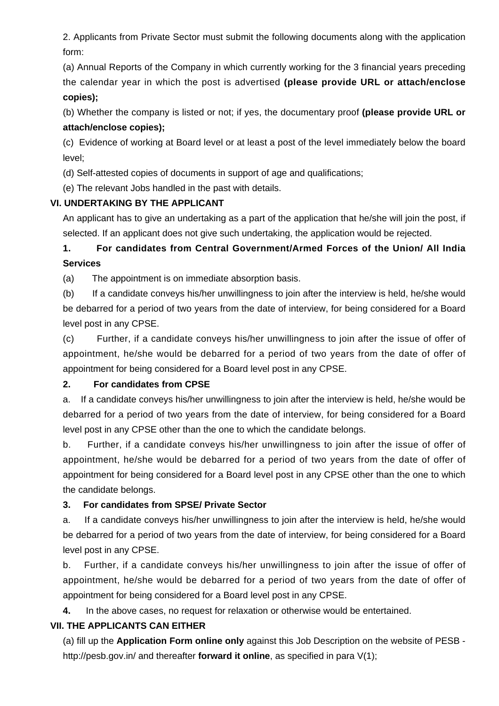2. Applicants from Private Sector must submit the following documents along with the application form:

(a) Annual Reports of the Company in which currently working for the 3 financial years preceding the calendar year in which the post is advertised **(please provide URL or attach/enclose copies);**

(b) Whether the company is listed or not; if yes, the documentary proof **(please provide URL or attach/enclose copies);**

(c) Evidence of working at Board level or at least a post of the level immediately below the board level;

(d) Self-attested copies of documents in support of age and qualifications;

(e) The relevant Jobs handled in the past with details.

#### **VI. UNDERTAKING BY THE APPLICANT**

An applicant has to give an undertaking as a part of the application that he/she will join the post, if selected. If an applicant does not give such undertaking, the application would be rejected.

**1. For candidates from Central Government/Armed Forces of the Union/ All India Services**

(a) The appointment is on immediate absorption basis.

(b) If a candidate conveys his/her unwillingness to join after the interview is held, he/she would be debarred for a period of two years from the date of interview, for being considered for a Board level post in any CPSE.

(c) Further, if a candidate conveys his/her unwillingness to join after the issue of offer of appointment, he/she would be debarred for a period of two years from the date of offer of appointment for being considered for a Board level post in any CPSE.

#### **2. For candidates from CPSE**

a. If a candidate conveys his/her unwillingness to join after the interview is held, he/she would be debarred for a period of two years from the date of interview, for being considered for a Board level post in any CPSE other than the one to which the candidate belongs.

b. Further, if a candidate conveys his/her unwillingness to join after the issue of offer of appointment, he/she would be debarred for a period of two years from the date of offer of appointment for being considered for a Board level post in any CPSE other than the one to which the candidate belongs.

#### **3. For candidates from SPSE/ Private Sector**

a. If a candidate conveys his/her unwillingness to join after the interview is held, he/she would be debarred for a period of two years from the date of interview, for being considered for a Board level post in any CPSE.

b. Further, if a candidate conveys his/her unwillingness to join after the issue of offer of appointment, he/she would be debarred for a period of two years from the date of offer of appointment for being considered for a Board level post in any CPSE.

**4.** In the above cases, no request for relaxation or otherwise would be entertained.

# **VII. THE APPLICANTS CAN EITHER**

(a) fill up the **Application Form online only** against this Job Description on the website of PESB http://pesb.gov.in/ and thereafter **forward it online**, as specified in para V(1);